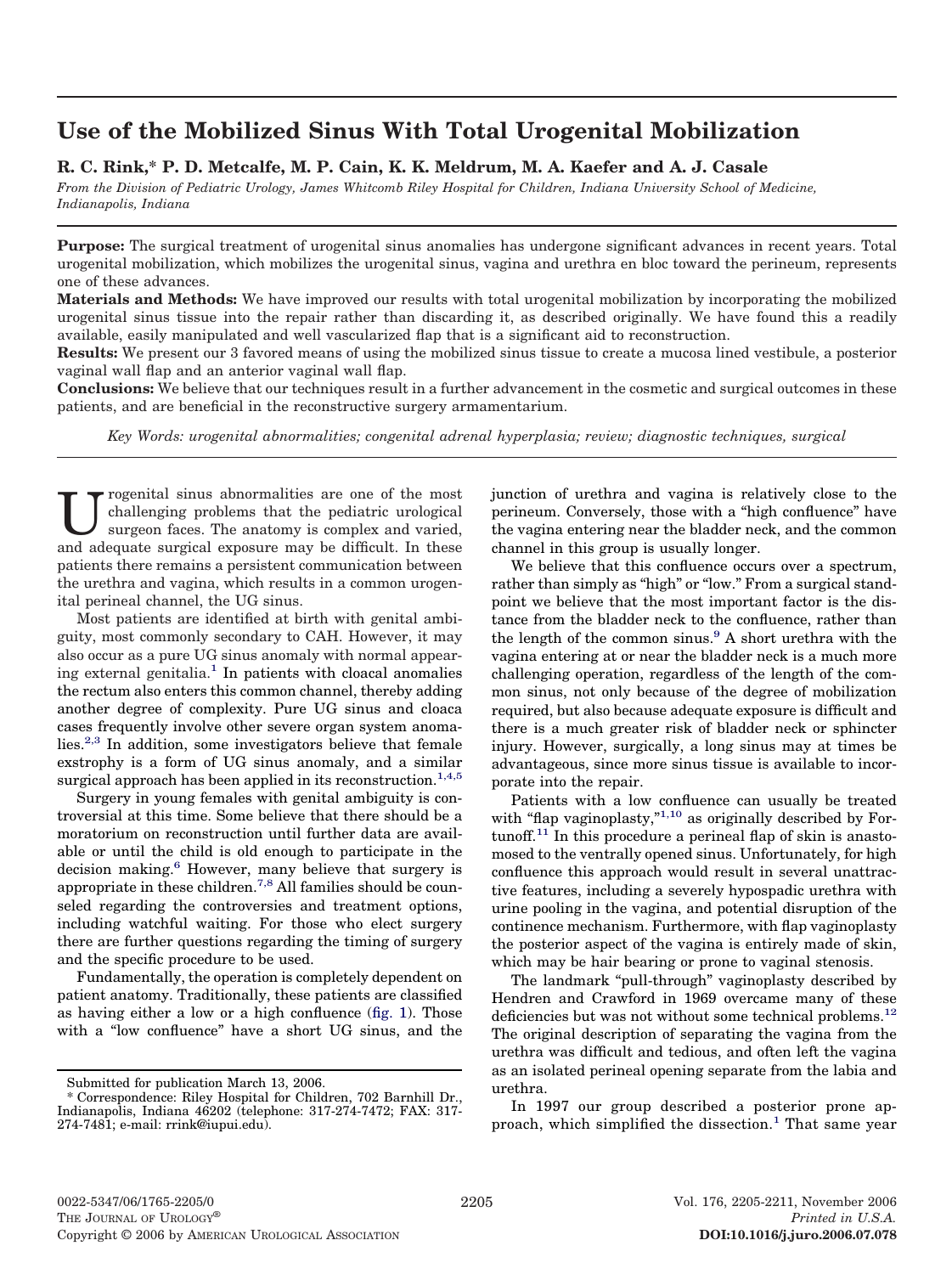# **Use of the Mobilized Sinus With Total Urogenital Mobilization**

# **R. C. Rink,\* P. D. Metcalfe, M. P. Cain, K. K. Meldrum, M. A. Kaefer and A. J. Casale**

*From the Division of Pediatric Urology, James Whitcomb Riley Hospital for Children, Indiana University School of Medicine, Indianapolis, Indiana*

**Purpose:** The surgical treatment of urogenital sinus anomalies has undergone significant advances in recent years. Total urogenital mobilization, which mobilizes the urogenital sinus, vagina and urethra en bloc toward the perineum, represents one of these advances.

**Materials and Methods:** We have improved our results with total urogenital mobilization by incorporating the mobilized urogenital sinus tissue into the repair rather than discarding it, as described originally. We have found this a readily available, easily manipulated and well vascularized flap that is a significant aid to reconstruction.

**Results:** We present our 3 favored means of using the mobilized sinus tissue to create a mucosa lined vestibule, a posterior vaginal wall flap and an anterior vaginal wall flap.

**Conclusions:** We believe that our techniques result in a further advancement in the cosmetic and surgical outcomes in these patients, and are beneficial in the reconstructive surgery armamentarium.

*Key Words: urogenital abnormalities; congenital adrenal hyperplasia; review; diagnostic techniques, surgical*

U rogenital sinus abnormalities are one of the most<br>challenging problems that the pediatric urological<br>surgeon faces. The anatomy is complex and varied,<br>and oderate surgical surgeons move to difficult. In these challenging problems that the pediatric urological and adequate surgical exposure may be difficult. In these patients there remains a persistent communication between the urethra and vagina, which results in a common urogenital perineal channel, the UG sinus.

Most patients are identified at birth with genital ambiguity, most commonly secondary to CAH. However, it may also occur as a pure UG sinus anomaly with normal appearing external genitalia.<sup>1</sup> In patients with cloacal anomalies the rectum also enters this common channel, thereby adding another degree of complexity. Pure UG sinus and cloaca cases frequently involve other severe organ system anomalies.<sup>2,3</sup> In addition, some investigators believe that female exstrophy is a form of UG sinus anomaly, and a similar surgical approach has been applied in its reconstruction.<sup>1,4,5</sup>

Surgery in young females with genital ambiguity is controversial at this time. Some believe that there should be a moratorium on reconstruction until further data are available or until the child is old enough to participate in the decision making.<sup>6</sup> However, many believe that surgery is appropriate in these children.<sup>7,8</sup> All families should be counseled regarding the controversies and treatment options, including watchful waiting. For those who elect surgery there are further questions regarding the timing of surgery and the specific procedure to be used.

Fundamentally, the operation is completely dependent on patient anatomy. Traditionally, these patients are classified as having either a low or a high confluence [\(fig. 1\)](#page-1-0). Those with a "low confluence" have a short UG sinus, and the junction of urethra and vagina is relatively close to the perineum. Conversely, those with a "high confluence" have the vagina entering near the bladder neck, and the common channel in this group is usually longer.

We believe that this confluence occurs over a spectrum, rather than simply as "high" or "low." From a surgical standpoint we believe that the most important factor is the distance from the bladder neck to the confluence, rather than the length of the common sinus.<sup>9</sup> A short urethra with the vagina entering at or near the bladder neck is a much more challenging operation, regardless of the length of the common sinus, not only because of the degree of mobilization required, but also because adequate exposure is difficult and there is a much greater risk of bladder neck or sphincter injury. However, surgically, a long sinus may at times be advantageous, since more sinus tissue is available to incorporate into the repair.

Patients with a low confluence can usually be treated with "flap vaginoplasty," $1,10$  as originally described by Fortunoff.<sup>11</sup> In this procedure a perineal flap of skin is anastomosed to the ventrally opened sinus. Unfortunately, for high confluence this approach would result in several unattractive features, including a severely hypospadic urethra with urine pooling in the vagina, and potential disruption of the continence mechanism. Furthermore, with flap vaginoplasty the posterior aspect of the vagina is entirely made of skin, which may be hair bearing or prone to vaginal stenosis.

The landmark "pull-through" vaginoplasty described by Hendren and Crawford in 1969 overcame many of these deficiencies but was not without some technical problems.<sup>12</sup> The original description of separating the vagina from the urethra was difficult and tedious, and often left the vagina as an isolated perineal opening separate from the labia and urethra.

In 1997 our group described a posterior prone ap-proach, which simplified the dissection.<sup>[1](#page-6-0)</sup> That same year

Submitted for publication March 13, 2006.

<sup>\*</sup> Correspondence: Riley Hospital for Children, 702 Barnhill Dr., Indianapolis, Indiana 46202 (telephone: 317-274-7472; FAX: 317- 274-7481; e-mail: rrink@iupui.edu).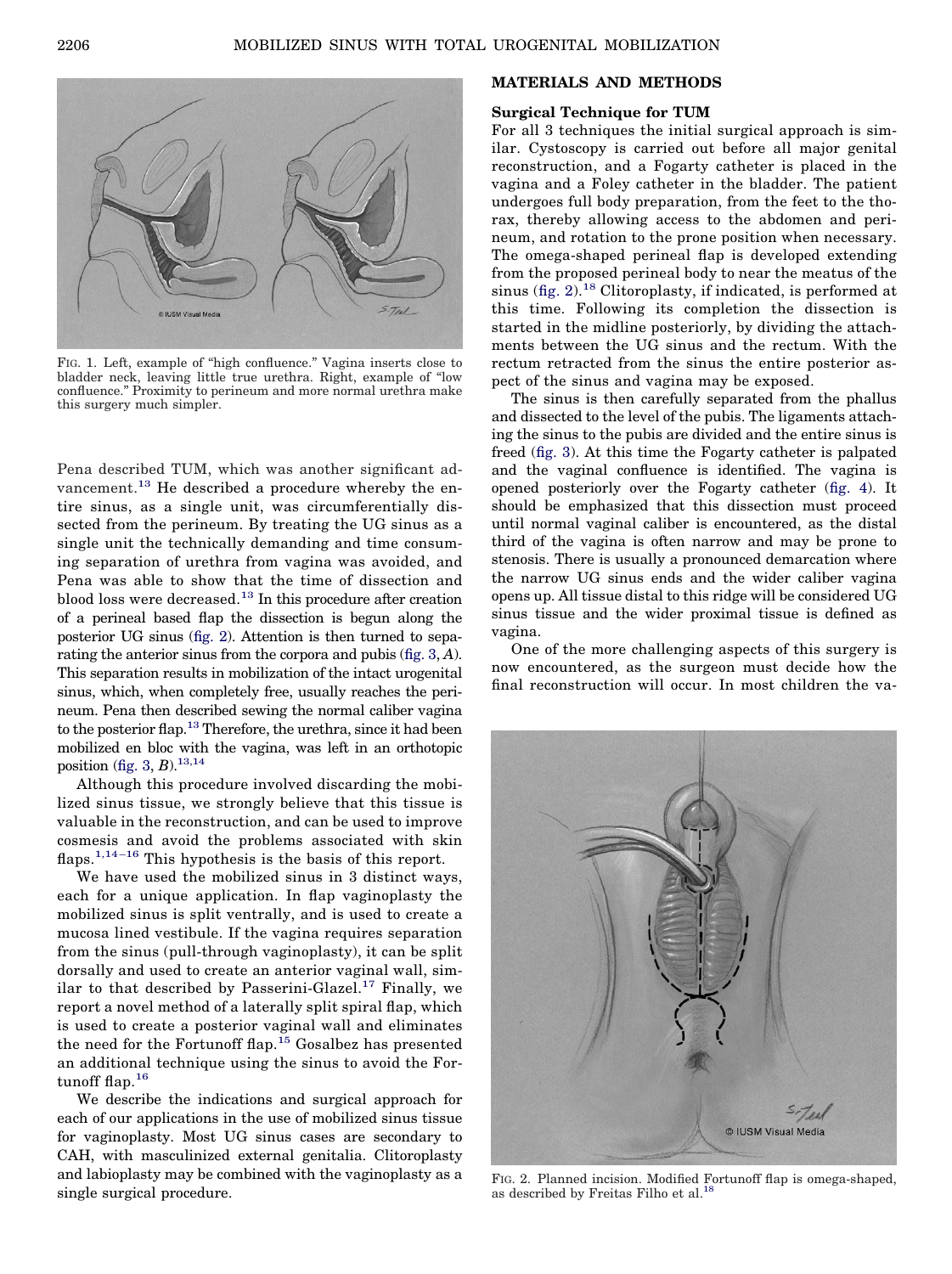<span id="page-1-0"></span>

FIG. 1. Left, example of "high confluence." Vagina inserts close to bladder neck, leaving little true urethra. Right, example of "low confluence." Proximity to perineum and more normal urethra make this surgery much simpler.

Pena described TUM, which was another significant ad-vancement.<sup>[13](#page-6-0)</sup> He described a procedure whereby the entire sinus, as a single unit, was circumferentially dissected from the perineum. By treating the UG sinus as a single unit the technically demanding and time consuming separation of urethra from vagina was avoided, and Pena was able to show that the time of dissection and blood loss were decreased.<sup>[13](#page-6-0)</sup> In this procedure after creation of a perineal based flap the dissection is begun along the posterior UG sinus (fig. 2). Attention is then turned to separating the anterior sinus from the corpora and pubis [\(fig. 3,](#page-2-0) *A*). This separation results in mobilization of the intact urogenital sinus, which, when completely free, usually reaches the perineum. Pena then described sewing the normal caliber vagina to the posterior flap.<sup>13</sup> Therefore, the urethra, since it had been mobilized en bloc with the vagina, was left in an orthotopic position (fig.  $3, B$ ).<sup>13,14</sup>

Although this procedure involved discarding the mobilized sinus tissue, we strongly believe that this tissue is valuable in the reconstruction, and can be used to improve cosmesis and avoid the problems associated with skin flaps.<sup>1,14-16</sup> This hypothesis is the basis of this report.

We have used the mobilized sinus in 3 distinct ways, each for a unique application. In flap vaginoplasty the mobilized sinus is split ventrally, and is used to create a mucosa lined vestibule. If the vagina requires separation from the sinus (pull-through vaginoplasty), it can be split dorsally and used to create an anterior vaginal wall, sim-ilar to that described by Passerini-Glazel.<sup>[17](#page-6-0)</sup> Finally, we report a novel method of a laterally split spiral flap, which is used to create a posterior vaginal wall and eliminates the need for the Fortunoff flap.<sup>[15](#page-6-0)</sup> Gosalbez has presented an additional technique using the sinus to avoid the For-tunoff flap.<sup>[16](#page-6-0)</sup>

We describe the indications and surgical approach for each of our applications in the use of mobilized sinus tissue for vaginoplasty. Most UG sinus cases are secondary to CAH, with masculinized external genitalia. Clitoroplasty and labioplasty may be combined with the vaginoplasty as a single surgical procedure.

### **MATERIALS AND METHODS**

#### **Surgical Technique for TUM**

For all 3 techniques the initial surgical approach is similar. Cystoscopy is carried out before all major genital reconstruction, and a Fogarty catheter is placed in the vagina and a Foley catheter in the bladder. The patient undergoes full body preparation, from the feet to the thorax, thereby allowing access to the abdomen and perineum, and rotation to the prone position when necessary. The omega-shaped perineal flap is developed extending from the proposed perineal body to near the meatus of the sinus (fig.  $2$ ).<sup>[18](#page-6-0)</sup> Clitoroplasty, if indicated, is performed at this time. Following its completion the dissection is started in the midline posteriorly, by dividing the attachments between the UG sinus and the rectum. With the rectum retracted from the sinus the entire posterior aspect of the sinus and vagina may be exposed.

The sinus is then carefully separated from the phallus and dissected to the level of the pubis. The ligaments attaching the sinus to the pubis are divided and the entire sinus is freed [\(fig. 3\)](#page-2-0). At this time the Fogarty catheter is palpated and the vaginal confluence is identified. The vagina is opened posteriorly over the Fogarty catheter [\(fig. 4\)](#page-2-0). It should be emphasized that this dissection must proceed until normal vaginal caliber is encountered, as the distal third of the vagina is often narrow and may be prone to stenosis. There is usually a pronounced demarcation where the narrow UG sinus ends and the wider caliber vagina opens up. All tissue distal to this ridge will be considered UG sinus tissue and the wider proximal tissue is defined as vagina.

One of the more challenging aspects of this surgery is now encountered, as the surgeon must decide how the final reconstruction will occur. In most children the va-



FIG. 2. Planned incision. Modified Fortunoff flap is omega-shaped, as described by Freitas Filho et al.<sup>[18](#page-6-0)</sup>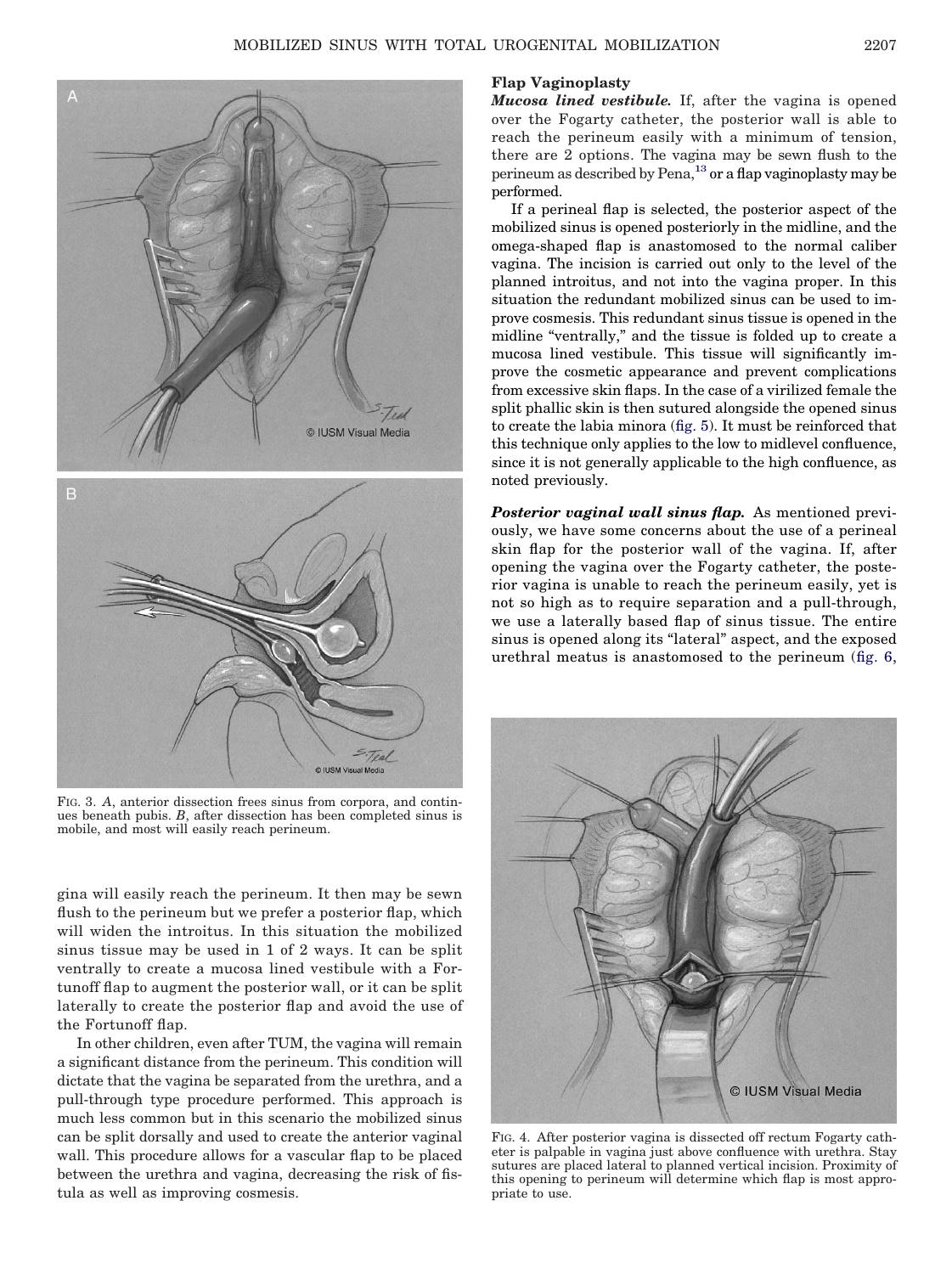<span id="page-2-0"></span>



FIG. 3. *A*, anterior dissection frees sinus from corpora, and continues beneath pubis. *B*, after dissection has been completed sinus is mobile, and most will easily reach perineum.

gina will easily reach the perineum. It then may be sewn flush to the perineum but we prefer a posterior flap, which will widen the introitus. In this situation the mobilized sinus tissue may be used in 1 of 2 ways. It can be split ventrally to create a mucosa lined vestibule with a Fortunoff flap to augment the posterior wall, or it can be split laterally to create the posterior flap and avoid the use of the Fortunoff flap.

In other children, even after TUM, the vagina will remain a significant distance from the perineum. This condition will dictate that the vagina be separated from the urethra, and a pull-through type procedure performed. This approach is much less common but in this scenario the mobilized sinus can be split dorsally and used to create the anterior vaginal wall. This procedure allows for a vascular flap to be placed between the urethra and vagina, decreasing the risk of fistula as well as improving cosmesis.

#### **Flap Vaginoplasty**

*Mucosa lined vestibule.* If, after the vagina is opened over the Fogarty catheter, the posterior wall is able to reach the perineum easily with a minimum of tension, there are 2 options. The vagina may be sewn flush to the perineum as described by Pena, $^{13}$  or a flap vaginoplasty may be performed.

If a perineal flap is selected, the posterior aspect of the mobilized sinus is opened posteriorly in the midline, and the omega-shaped flap is anastomosed to the normal caliber vagina. The incision is carried out only to the level of the planned introitus, and not into the vagina proper. In this situation the redundant mobilized sinus can be used to improve cosmesis. This redundant sinus tissue is opened in the midline "ventrally," and the tissue is folded up to create a mucosa lined vestibule. This tissue will significantly improve the cosmetic appearance and prevent complications from excessive skin flaps. In the case of a virilized female the split phallic skin is then sutured alongside the opened sinus to create the labia minora [\(fig. 5\)](#page-3-0). It must be reinforced that this technique only applies to the low to midlevel confluence, since it is not generally applicable to the high confluence, as noted previously.

*Posterior vaginal wall sinus flap.* As mentioned previously, we have some concerns about the use of a perineal skin flap for the posterior wall of the vagina. If, after opening the vagina over the Fogarty catheter, the posterior vagina is unable to reach the perineum easily, yet is not so high as to require separation and a pull-through, we use a laterally based flap of sinus tissue. The entire sinus is opened along its "lateral" aspect, and the exposed urethral meatus is anastomosed to the perineum [\(fig. 6,](#page-4-0)



FIG. 4. After posterior vagina is dissected off rectum Fogarty catheter is palpable in vagina just above confluence with urethra. Stay sutures are placed lateral to planned vertical incision. Proximity of this opening to perineum will determine which flap is most appropriate to use.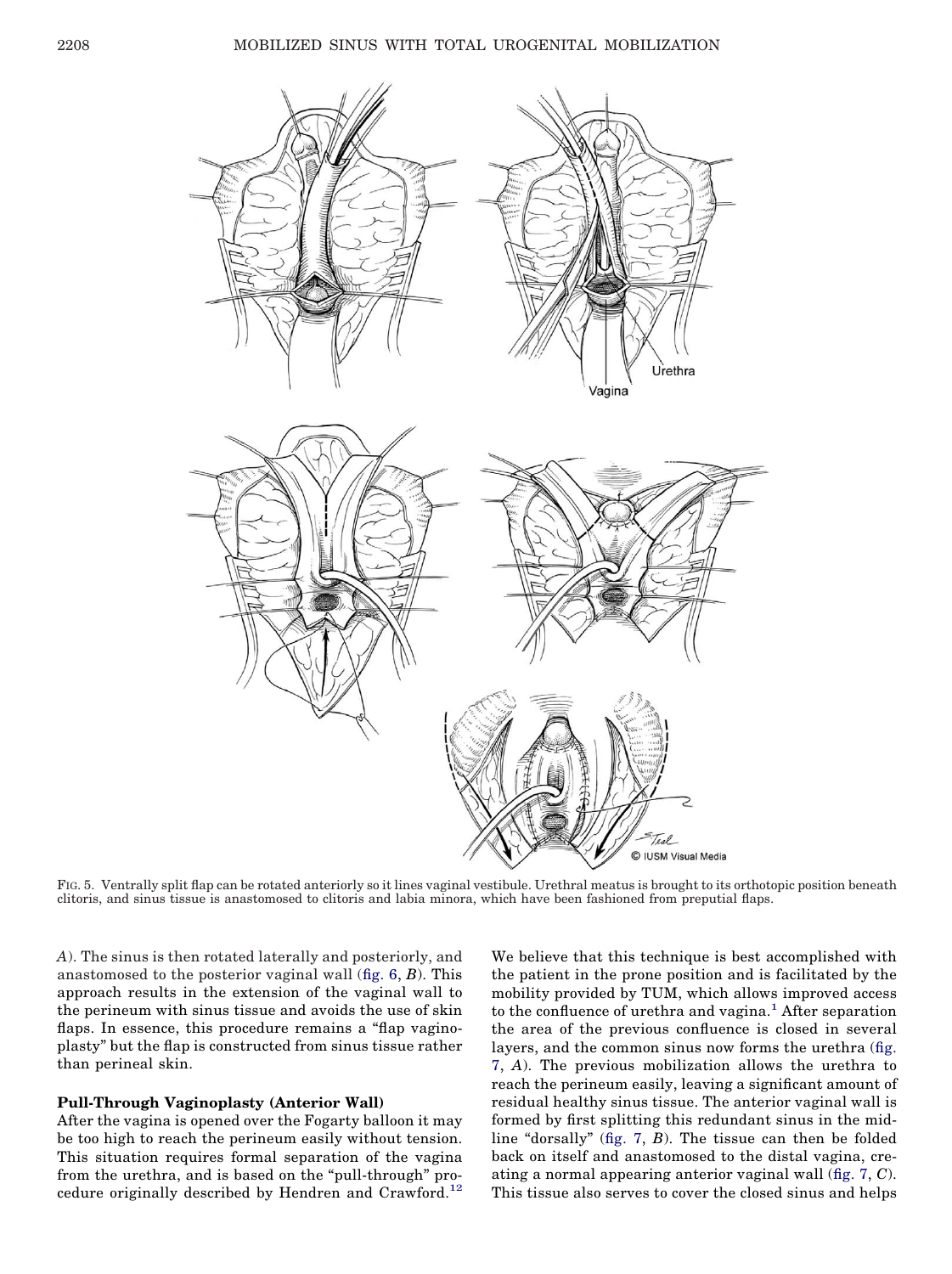<span id="page-3-0"></span>

FIG. 5. Ventrally split flap can be rotated anteriorly so it lines vaginal vestibule. Urethral meatus is brought to its orthotopic position beneath clitoris, and sinus tissue is anastomosed to clitoris and labia minora, which have been fashioned from preputial flaps.

*A*). The sinus is then rotated laterally and posteriorly, and anastomosed to the posterior vaginal wall [\(fig. 6,](#page-4-0) *B*). This approach results in the extension of the vaginal wall to the perineum with sinus tissue and avoids the use of skin flaps. In essence, this procedure remains a "flap vaginoplasty" but the flap is constructed from sinus tissue rather than perineal skin.

#### **Pull-Through Vaginoplasty (Anterior Wall)**

After the vagina is opened over the Fogarty balloon it may be too high to reach the perineum easily without tension. This situation requires formal separation of the vagina from the urethra, and is based on the "pull-through" pro-cedure originally described by Hendren and Crawford.<sup>[12](#page-6-0)</sup>

We believe that this technique is best accomplished with the patient in the prone position and is facilitated by the mobility provided by TUM, which allows improved access to the confluence of urethra and vagina.<sup>[1](#page-6-0)</sup> After separation the area of the previous confluence is closed in several layers, and the common sinus now forms the urethra [\(fig.](#page-5-0) [7,](#page-5-0) *A*). The previous mobilization allows the urethra to reach the perineum easily, leaving a significant amount of residual healthy sinus tissue. The anterior vaginal wall is formed by first splitting this redundant sinus in the midline "dorsally" [\(fig. 7,](#page-5-0) *B*). The tissue can then be folded back on itself and anastomosed to the distal vagina, creating a normal appearing anterior vaginal wall [\(fig. 7,](#page-5-0) *C*). This tissue also serves to cover the closed sinus and helps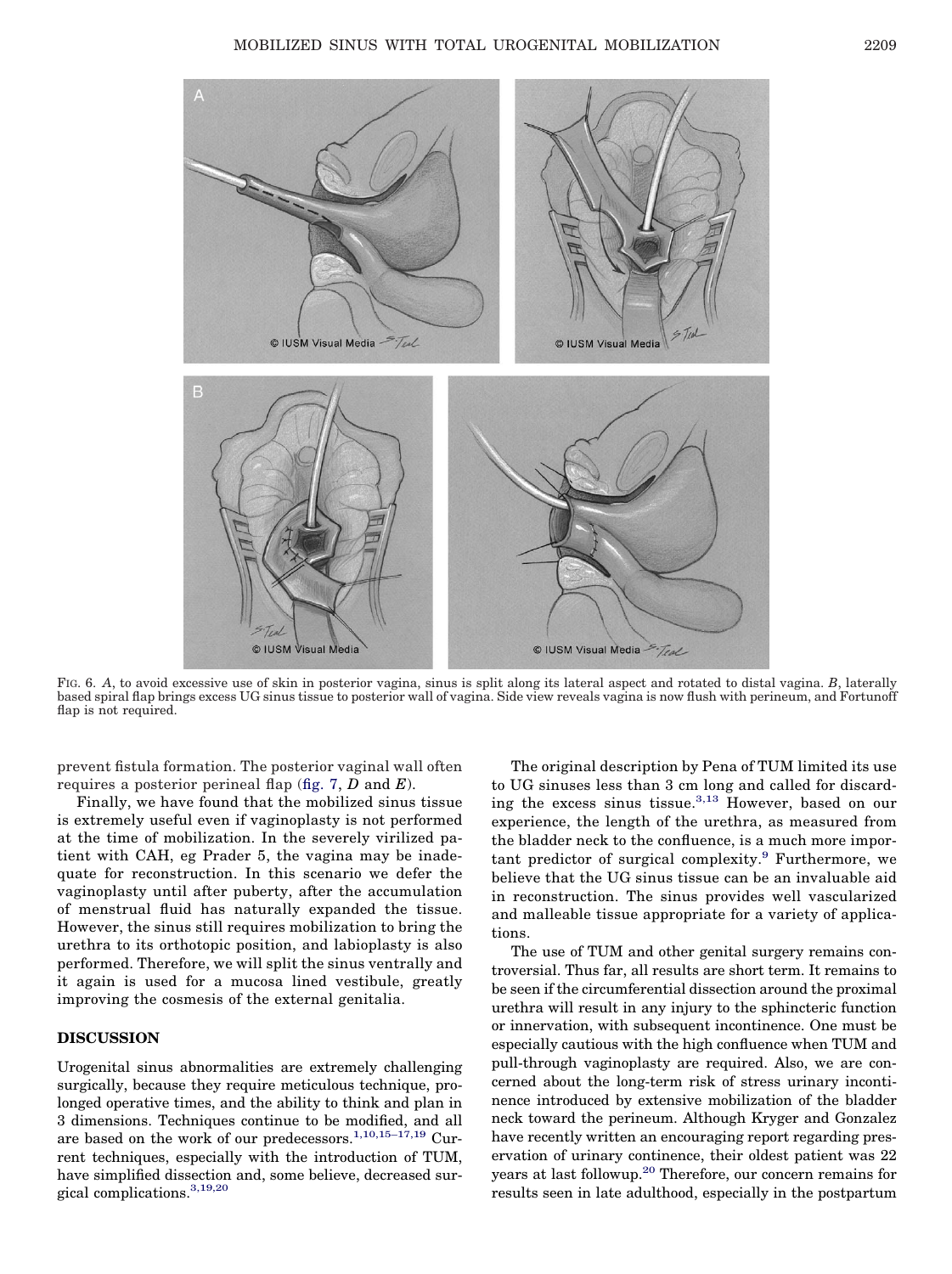<span id="page-4-0"></span>

FIG. 6. *A*, to avoid excessive use of skin in posterior vagina, sinus is split along its lateral aspect and rotated to distal vagina. *B*, laterally based spiral flap brings excess UG sinus tissue to posterior wall of vagina. Side view reveals vagina is now flush with perineum, and Fortunoff flap is not required.

prevent fistula formation. The posterior vaginal wall often requires a posterior perineal flap [\(fig. 7,](#page-5-0) *D* and *E*).

Finally, we have found that the mobilized sinus tissue is extremely useful even if vaginoplasty is not performed at the time of mobilization. In the severely virilized patient with CAH, eg Prader 5, the vagina may be inadequate for reconstruction. In this scenario we defer the vaginoplasty until after puberty, after the accumulation of menstrual fluid has naturally expanded the tissue. However, the sinus still requires mobilization to bring the urethra to its orthotopic position, and labioplasty is also performed. Therefore, we will split the sinus ventrally and it again is used for a mucosa lined vestibule, greatly improving the cosmesis of the external genitalia.

# **DISCUSSION**

Urogenital sinus abnormalities are extremely challenging surgically, because they require meticulous technique, prolonged operative times, and the ability to think and plan in 3 dimensions. Techniques continue to be modified, and all are based on the work of our predecessors.<sup>1,10,15–17,19</sup> Current techniques, especially with the introduction of TUM, have simplified dissection and, some believe, decreased surgical complications[.3,19,20](#page-6-0)

The original description by Pena of TUM limited its use to UG sinuses less than 3 cm long and called for discarding the excess sinus tissue. $3,13$  However, based on our experience, the length of the urethra, as measured from the bladder neck to the confluence, is a much more impor-tant predictor of surgical complexity.<sup>[9](#page-6-0)</sup> Furthermore, we believe that the UG sinus tissue can be an invaluable aid in reconstruction. The sinus provides well vascularized and malleable tissue appropriate for a variety of applications.

The use of TUM and other genital surgery remains controversial. Thus far, all results are short term. It remains to be seen if the circumferential dissection around the proximal urethra will result in any injury to the sphincteric function or innervation, with subsequent incontinence. One must be especially cautious with the high confluence when TUM and pull-through vaginoplasty are required. Also, we are concerned about the long-term risk of stress urinary incontinence introduced by extensive mobilization of the bladder neck toward the perineum. Although Kryger and Gonzalez have recently written an encouraging report regarding preservation of urinary continence, their oldest patient was 22 years at last followup.<sup>20</sup> Therefore, our concern remains for results seen in late adulthood, especially in the postpartum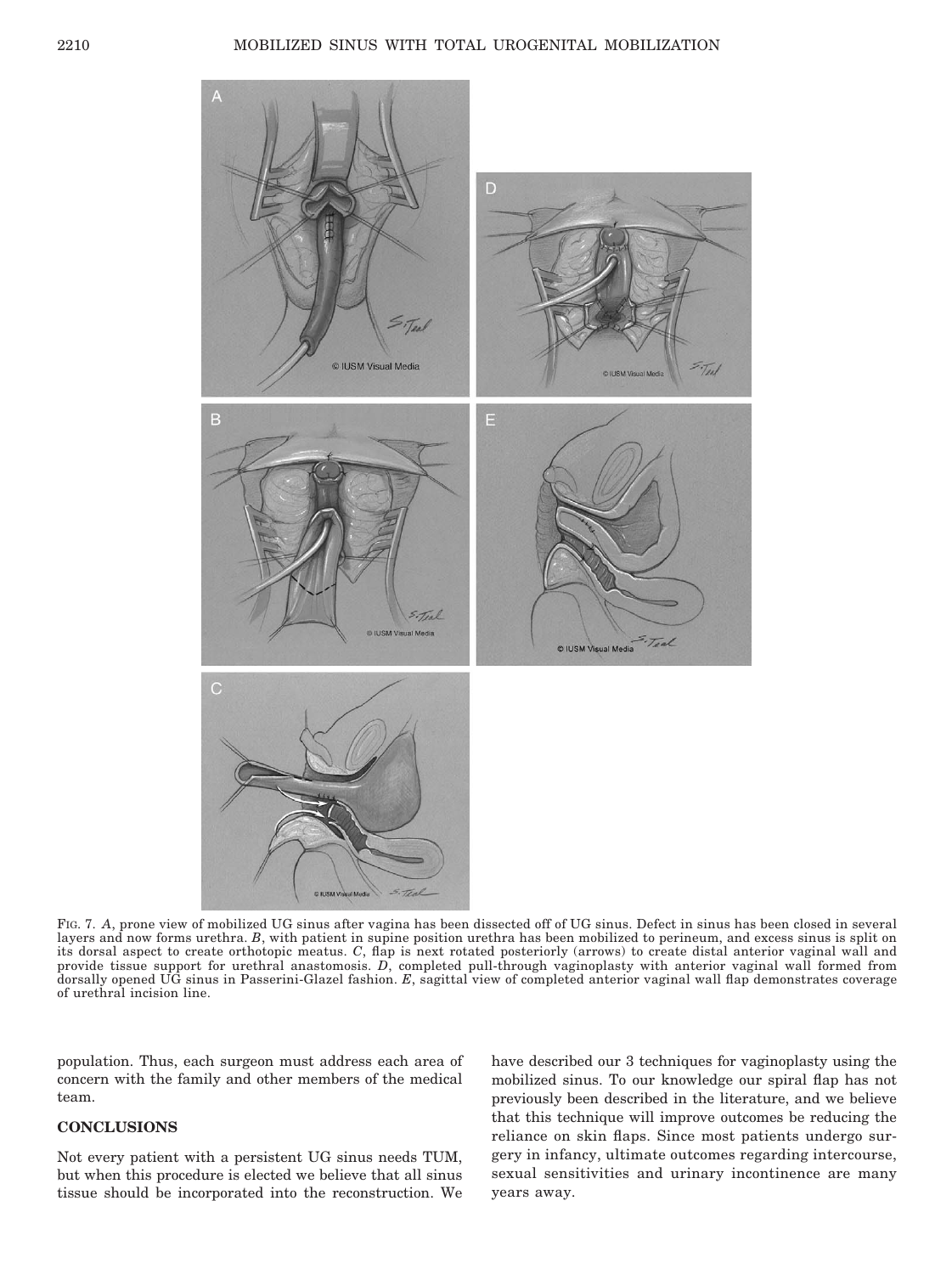<span id="page-5-0"></span>

FIG. 7. *A*, prone view of mobilized UG sinus after vagina has been dissected off of UG sinus. Defect in sinus has been closed in several layers and now forms urethra. *B*, with patient in supine position urethra has been mobilized to perineum, and excess sinus is split on its dorsal aspect to create orthotopic meatus. *C*, flap is next rotated posteriorly (arrows) to create distal anterior vaginal wall and provide tissue support for urethral anastomosis. *D*, completed pull-through vaginoplasty with anterior vaginal wall formed from dorsally opened UG sinus in Passerini-Glazel fashion. *E*, sagittal view of completed anterior vaginal wall flap demonstrates coverage of urethral incision line.

population. Thus, each surgeon must address each area of concern with the family and other members of the medical team.

# **CONCLUSIONS**

Not every patient with a persistent UG sinus needs TUM, but when this procedure is elected we believe that all sinus tissue should be incorporated into the reconstruction. We

have described our 3 techniques for vaginoplasty using the mobilized sinus. To our knowledge our spiral flap has not previously been described in the literature, and we believe that this technique will improve outcomes be reducing the reliance on skin flaps. Since most patients undergo surgery in infancy, ultimate outcomes regarding intercourse, sexual sensitivities and urinary incontinence are many years away.